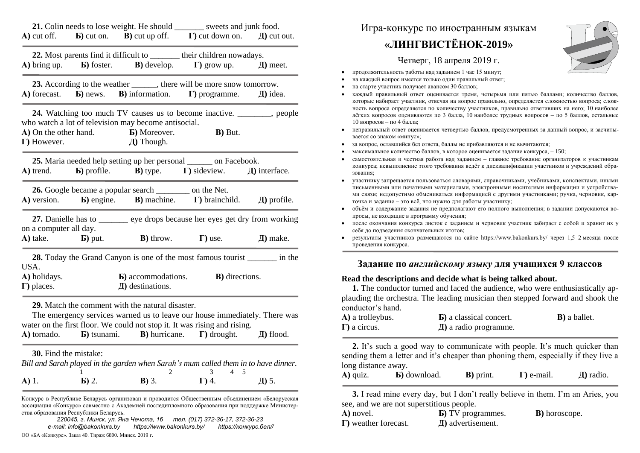|                                            |                                       |                                                                                                                        | 21. Colin needs to lose weight. He should ________ sweets and junk food.<br>A) cut off. <b>b</b> ) cut on. <b>b</b> ) cut up off. <b>c</b> ) cut down on. <b>h</b> ) cut out.                                                        |                |
|--------------------------------------------|---------------------------------------|------------------------------------------------------------------------------------------------------------------------|--------------------------------------------------------------------------------------------------------------------------------------------------------------------------------------------------------------------------------------|----------------|
|                                            |                                       |                                                                                                                        | 22. Most parents find it difficult to _______ their children nowadays.<br><b>A)</b> bring up. <b>b</b> ) foster. <b>B</b> ) develop. <b>F</b> ) grow up.                                                                             | $\pi$ ) meet.  |
|                                            |                                       |                                                                                                                        | 23. According to the weather _______, there will be more snow tomorrow.<br>A) forecast. <b>b</b> ) news. <b>b</b> ) information. <b>c</b> ) programme. <b>J</b> ) idea.                                                              |                |
| $\Gamma$ ) However.                        |                                       | who watch a lot of television may become antisocial.<br><b>A)</b> On the other hand. <b>B)</b> Moreover.<br>Д) Though. | 24. Watching too much TV causes us to become inactive. ________, people<br><b>B</b> ) But.                                                                                                                                           |                |
| A) trend.                                  |                                       |                                                                                                                        | 25. Maria needed help setting up her personal _______ on Facebook.<br><b>b</b> ) profile. <b>B</b> ) type. $\Gamma$ ) sideview. $\Box$ interface.                                                                                    |                |
|                                            |                                       | <b>26.</b> Google became a popular search __________ on the Net.                                                       | $A)$ version. $B)$ engine. $B)$ machine. $\Gamma$ ) brainchild. $\Box$ all profile.                                                                                                                                                  |                |
| on a computer all day.                     |                                       |                                                                                                                        | 27. Danielle has to <u>example eye</u> drops because her eyes get dry from working<br>A) take. <b>b</b> ) put. <b>b</b> ) throw. $\Gamma$ ) use.                                                                                     | Д) make.       |
| USA.<br>A) holidays.<br>$\Gamma$ ) places. |                                       | <b>b</b> ) accommodations.<br>$\langle \mathbf{I} \rangle$ destinations.                                               | 28. Today the Grand Canyon is one of the most famous tourist ________ in the<br><b>B</b> ) directions.                                                                                                                               |                |
|                                            |                                       | 29. Match the comment with the natural disaster.                                                                       | The emergency services warned us to leave our house immediately. There was<br>water on the first floor. We could not stop it. It was rising and rising.<br>A) tornado. <b>b</b> ) tsunami. <b>b</b> ) hurricane. $\Gamma$ ) drought. | $\pi$ ) flood. |
| A) 1.                                      | <b>30.</b> Find the mistake:<br>Б) 2. | <b>B</b> ) 3.                                                                                                          | Bill and Sarah played in the garden when Sarah's mum called them in to have dinner.<br>3<br>4<br>5<br>$\Gamma$ ) 4.                                                                                                                  | Д) 5.          |
|                                            | ства образования Республики Беларусь. |                                                                                                                        | Конкурс в Республике Беларусь организован и проводится Общественным объединением «Белорусская<br>ассоциация «Конкурс» совместно с Академией последипломного образования при поддержке Министер-                                      |                |

*220045, г. Минск, ул. Яна Чечота, 16 тел. (017) 372-36-17, 372-36-23 e-mail: info@bakonkurs.by https://www.bakonkurs.by/ https://конкурс.бел//* ОО «БА «Конкурс». Заказ 40. Тираж 6800. Минск. 2019 г.

## Игра-конкурс по иностранным языкам

## **«ЛИНГВИСТЁНОК-2019»**



Четверг, 18 апреля 2019 г.

- продолжительность работы над заданием 1 час 15 минут;
- на каждый вопрос имеется только один правильный ответ;
- на старте участник получает авансом 30 баллов;
- каждый правильный ответ оценивается тремя, четырьмя или пятью баллами; количество баллов, которые набирает участник, отвечая на вопрос правильно, определяется сложностью вопроса; сложность вопроса определяется по количеству участников, правильно ответивших на него; 10 наиболее лёгких вопросов оцениваются по 3 балла, 10 наиболее трудных вопросов – по 5 баллов, остальные 10 вопросов – по 4 балла;
- неправильный ответ оценивается четвертью баллов, предусмотренных за данный вопрос, и засчитывается со знаком «минус»;
- за вопрос, оставшийся без ответа, баллы не прибавляются и не вычитаются;
- максимальное количество баллов, в которое оценивается задание конкурса, 150;
- самостоятельная и честная работа над заданием главное требование организаторов к участникам конкурса; невыполнение этого требования ведёт к дисквалификации участников и учреждений образования;
- участнику запрещается пользоваться словарями, справочниками, учебниками, конспектами, иными письменными или печатными материалами, электронными носителями информации и устройствами связи; недопустимо обмениваться информацией с другими участниками; ручка, черновик, карточка и задание – это всё, что нужно для работы участнику;
- объём и содержание задания не предполагают его полного выполнения; в задании допускаются вопросы, не входящие в программу обучения;
- после окончания конкурса листок с заданием и черновик участник забирает с собой и хранит их у себя до подведения окончательных итогов;
- результаты участников размещаются на сайте https://www.bakonkurs.by/ через 1,5–2 месяца после проведения конкурса.

## **Задание по** *английскому языку* **для учащихся 9 классов**

## **Read the descriptions and decide what is being talked about.**

**1.** The conductor turned and faced the audience, who were enthusiastically applauding the orchestra. The leading musician then stepped forward and shook the conductor's hand.

| A) a trolleybus.     | <b>b</b> ) a classical concert. | <b>B</b> ) a ballet. |
|----------------------|---------------------------------|----------------------|
| $\Gamma$ ) a circus. | $\pi$ ) a radio programme.      |                      |

**2.** It's such a good way to communicate with people. It's much quicker than sending them a letter and it's cheaper than phoning them, especially if they live a long distance away.

| A) quiz. | <b>b</b> ) download. | <b>B</b> ) print. | $\Gamma$ ) e-mail. | $\pi$ ) radio. |
|----------|----------------------|-------------------|--------------------|----------------|
|----------|----------------------|-------------------|--------------------|----------------|

**3.** I read mine every day, but I don't really believe in them. I'm an Aries, you see, and we are not superstitious people.

| A) novel.                    | <b>b</b> ) TV programmes. | <b>B</b> ) horoscope. |
|------------------------------|---------------------------|-----------------------|
| $\Gamma$ ) weather forecast. | $\pi$ ) advertisement.    |                       |